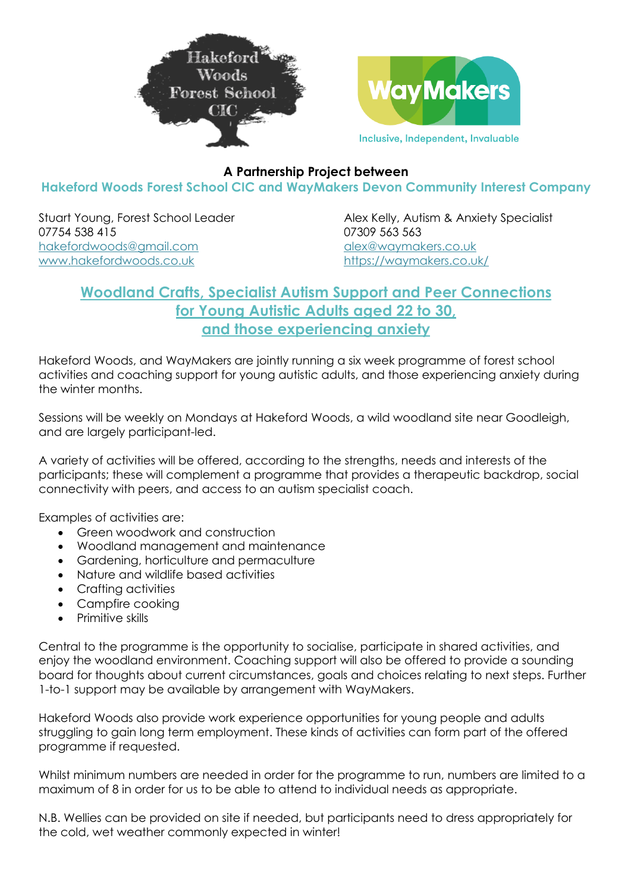



Inclusive, Independent, Invaluable

## **A Partnership Project between Hakeford Woods Forest School CIC and WayMakers Devon Community Interest Company**

07754 538 415 07309 563 563 hakefordwoods@amail.com alex@waymakers.co.uk www.hakefordwoods.co.uk https://waymakers.co.uk/

Stuart Young, Forest School Leader Alex Kelly, Autism & Anxiety Specialist

## **Woodland Crafts, Specialist Autism Support and Peer Connections for Young Autistic Adults aged 22 to 30, and those experiencing anxiety**

Hakeford Woods, and WayMakers are jointly running a six week programme of forest school activities and coaching support for young autistic adults, and those experiencing anxiety during the winter months.

Sessions will be weekly on Mondays at Hakeford Woods, a wild woodland site near Goodleigh, and are largely participant-led.

A variety of activities will be offered, according to the strengths, needs and interests of the participants; these will complement a programme that provides a therapeutic backdrop, social connectivity with peers, and access to an autism specialist coach.

Examples of activities are:

- Green woodwork and construction
- Woodland management and maintenance
- Gardening, horticulture and permaculture
- Nature and wildlife based activities
- Crafting activities
- Campfire cooking
- Primitive skills

Central to the programme is the opportunity to socialise, participate in shared activities, and enjoy the woodland environment. Coaching support will also be offered to provide a sounding board for thoughts about current circumstances, goals and choices relating to next steps. Further 1-to-1 support may be available by arrangement with WayMakers.

Hakeford Woods also provide work experience opportunities for young people and adults struggling to gain long term employment. These kinds of activities can form part of the offered programme if requested.

Whilst minimum numbers are needed in order for the programme to run, numbers are limited to a maximum of 8 in order for us to be able to attend to individual needs as appropriate.

N.B. Wellies can be provided on site if needed, but participants need to dress appropriately for the cold, wet weather commonly expected in winter!